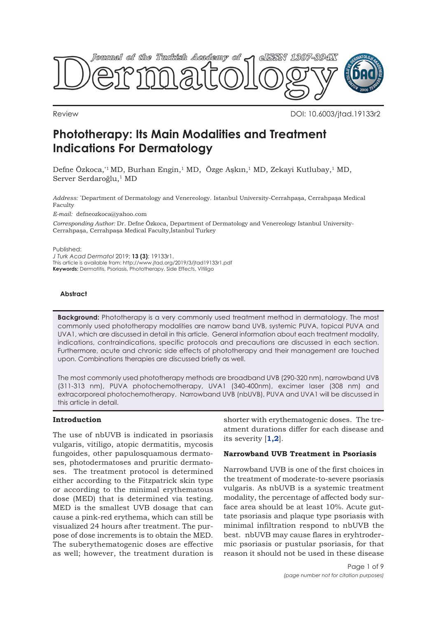

Review DOI: 10.6003/jtad.19133r2

# **Phototherapy: Its Main Modalities and Treatment Indications For Dermatology**

Defne Özkoca,\*1 MD, Burhan Engin,1 MD, Özge Aşkın,1 MD, Zekayi Kutlubay,1 MD, Server Serdaroğlu,<sup>1</sup> MD

*Address:* \* Department of Dermatology and Venereology. Istanbul University-Cerrahpaşa, Cerrahpaşa Medical Faculty

*E-mail:* defneozkoca@yahoo.com

*Corresponding Author:* Dr. Defne Özkoca, Department of Dermatology and Venereology Istanbul University-Cerrahpaşa, Cerrahpaşa Medical Faculty,İstanbul Turkey

Published:

*J Turk Acad Dermatol* 2019; **13 (3)**: 19133r1. This article is available from: http://www.jtad.org/2019/3/jtad19133r1.pdf **Keywords:** Dermatitis, Psoriasis, Phototherapy, Side Effects, Vitiligo

#### **Abstract**

**Background:** Phototherapy is a very commonly used treatment method in dermatology. The most commonly used phototherapy modalities are narrow band UVB, systemic PUVA, topical PUVA and UVA1, which are discussed in detail in this article. General information about each treatment modality, indications, contraindications, specific protocols and precautions are discussed in each section. Furthermore, acute and chronic side effects of phototherapy and their management are touched upon. Combinations therapies are discussed briefly as well.

The most commonly used phototherapy methods are broadband UVB (290-320 nm), narrowband UVB (311-313 nm), PUVA photochemotherapy, UVA1 (340-400nm), excimer laser (308 nm) and extracorporeal photochemotherapy. Narrowband UVB (nbUVB), PUVA and UVA1 will be discussed in this article in detail.

## **Introduction**

The use of nbUVB is indicated in psoriasis vulgaris, vitiligo, atopic dermatitis, mycosis fungoides, other papulosquamous dermatoses, photodermatoses and pruritic dermatoses. The treatment protocol is determined either according to the Fitzpatrick skin type or according to the minimal erythematous dose (MED) that is determined via testing. MED is the smallest UVB dosage that can cause a pink-red erythema, which can still be visualized 24 hours after treatment. The purpose of dose increments is to obtain the MED. The suberythematogenic doses are effective as well; however, the treatment duration is

shorter with erythematogenic doses. The treatment durations differ for each disease and its severity [**[1,2](#page-7-0)**].

#### **Narrowband UVB Treatment in Psoriasis**

Narrowband UVB is one of the first choices in the treatment of moderate-to-severe psoriasis vulgaris. As nbUVB is a systemic treatment modality, the percentage of affected body surface area should be at least 10%. Acute guttate psoriasis and plaque type psoriasis with minimal infiltration respond to nbUVB the best. nbUVB may cause flares in eryhtrodermic psoriasis or pustular psoriasis, for that reason it should not be used in these disease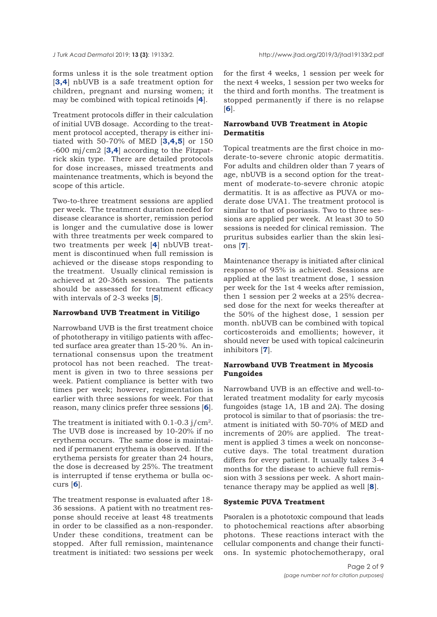forms unless it is the sole treatment option [**[3,4](#page-7-0)**] nbUVB is a safe treatment option for children, pregnant and nursing women; it may be combined with topical retinoids [**4**].

Treatment protocols differ in their calculation of initial UVB dosage. According to the treatment protocol accepted, therapy is either initiated with 50-70% of MED [**[3,4,5](#page-7-0)**] or 150 -600 mj/cm2 [**[3,4](#page-7-0)**] according to the Fitzpatrick skin type. There are detailed protocols for dose increases, missed treatments and maintenance treatments, which is beyond the scope of this article.

Two-to-three treatment sessions are applied per week. The treatment duration needed for disease clearance is shorter, remission period is longer and the cumulative dose is lower with three treatments per week compared to two treatments per week [**[4](#page-7-0)**] nbUVB treatment is discontinued when full remission is achieved or the disease stops responding to the treatment. Usually clinical remission is achieved at 20-36th session. The patients should be assessed for treatment efficacy with intervals of 2-3 weeks [**[5](#page-7-0)**].

#### **Narrowband UVB Treatment in Vitiligo**

Narrowband UVB is the first treatment choice of phototherapy in vitiligo patients with affected surface area greater than 15-20 %. An international consensus upon the treatment protocol has not been reached. The treatment is given in two to three sessions per week. Patient compliance is better with two times per week; however, regimentation is earlier with three sessions for week. For that reason, many clinics prefer three sessions [**[6](#page-7-0)**].

The treatment is initiated with 0.1-0.3 j/cm2. The UVB dose is increased by 10-20% if no erythema occurs. The same dose is maintained if permanent erythema is observed. If the erythema persists for greater than 24 hours, the dose is decreased by 25%. The treatment is interrupted if tense erythema or bulla occurs [**[6](#page-7-0)**].

The treatment response is evaluated after 18- 36 sessions. A patient with no treatment response should receive at least 48 treatments in order to be classified as a non-responder. Under these conditions, treatment can be stopped. After full remission, maintenance treatment is initiated: two sessions per week

for the first 4 weeks, 1 session per week for the next 4 weeks, 1 session per two weeks for the third and forth months. The treatment is stopped permanently if there is no relapse [**6**].

# **Narrowband UVB Treatment in Atopic Dermatitis**

Topical treatments are the first choice in moderate-to-severe chronic atopic dermatitis. For adults and children older than 7 years of age, nbUVB is a second option for the treatment of moderate-to-severe chronic atopic dermatitis. It is as affective as PUVA or moderate dose UVA1. The treatment protocol is similar to that of psoriasis. Two to three sessions are applied per week. At least 30 to 50 sessions is needed for clinical remission. The pruritus subsides earlier than the skin lesions [**[7](#page-7-0)**].

Maintenance therapy is initiated after clinical response of 95% is achieved. Sessions are applied at the last treatment dose, 1 session per week for the 1st 4 weeks after remission, then 1 session per 2 weeks at a 25% decreased dose for the next for weeks thereafter at the 50% of the highest dose, 1 session per month. nbUVB can be combined with topical corticosteroids and emollients; however, it should never be used with topical calcineurin inhibitors [**[7](#page-7-0)**].

## **Narrowband UVB Treatment in Mycosis Fungoides**

Narrowband UVB is an effective and well-tolerated treatment modality for early mycosis fungoides (stage 1A, 1B and 2A). The dosing protocol is similar to that of psoriasis: the treatment is initiated with 50-70% of MED and increments of 20% are applied. The treatment is applied 3 times a week on nonconsecutive days. The total treatment duration differs for every patient. It usually takes 3-4 months for the disease to achieve full remission with 3 sessions per week. A short maintenance therapy may be applied as well [**[8](#page-7-0)**].

## **Systemic PUVA Treatment**

Psoralen is a phototoxic compound that leads to photochemical reactions after absorbing photons. These reactions interact with the cellular components and change their functions. In systemic photochemotherapy, oral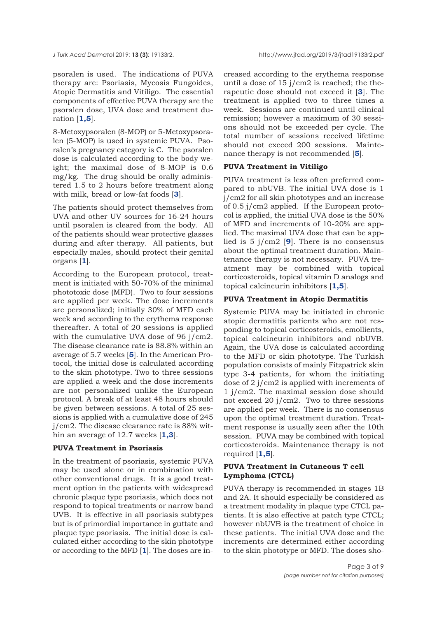psoralen is used. The indications of PUVA therapy are: Psoriasis, Mycosis Fungoides, Atopic Dermatitis and Vitiligo. The essential components of effective PUVA therapy are the psoralen dose, UVA dose and treatment duration [**[1,5](#page-7-0)**].

8-Metoxypsoralen (8-MOP) or 5-Metoxypsoralen (5-MOP) is used in systemic PUVA. Psoralen's pregnancy category is C. The psoralen dose is calculated according to the body weight; the maximal dose of 8-MOP is 0.6 mg/kg. The drug should be orally administered 1.5 to 2 hours before treatment along with milk, bread or low-fat foods [**[3](#page-7-0)**].

The patients should protect themselves from UVA and other UV sources for 16-24 hours until psoralen is cleared from the body. All of the patients should wear protective glasses during and after therapy. All patients, but especially males, should protect their genital organs [**[1](#page-7-0)**].

According to the European protocol, treatment is initiated with 50-70% of the minimal phototoxic dose (MFD). Two to four sessions are applied per week. The dose increments are personalized; initially 30% of MFD each week and according to the erythema response thereafter. A total of 20 sessions is applied with the cumulative UVA dose of 96 j/cm2. The disease clearance rate is 88.8% within an average of 5.7 weeks [**[5](#page-7-0)**]. In the American Protocol, the initial dose is calculated according to the skin phototype. Two to three sessions are applied a week and the dose increments are not personalized unlike the European protocol. A break of at least 48 hours should be given between sessions. A total of 25 sessions is applied with a cumulative dose of 245 j/cm2. The disease clearance rate is 88% within an average of 12.7 weeks [**[1,3](#page-7-0)**].

#### **PUVA Treatment in Psoriasis**

In the treatment of psoriasis, systemic PUVA may be used alone or in combination with other conventional drugs. It is a good treatment option in the patients with widespread chronic plaque type psoriasis, which does not respond to topical treatments or narrow band UVB. It is effective in all psoriasis subtypes but is of primordial importance in guttate and plaque type psoriasis. The initial dose is calculated either according to the skin phototype or according to the MFD [**[1](#page-7-0)**]. The doses are in-

creased according to the erythema response until a dose of  $15$  j/cm2 is reached; the therapeutic dose should not exceed it [**[3](#page-7-0)**]. The treatment is applied two to three times a week. Sessions are continued until clinical remission; however a maximum of 30 sessions should not be exceeded per cycle. The total number of sessions received lifetime should not exceed 200 sessions. Maintenance therapy is not recommended [**[5](#page-7-0)**].

## **PUVA Treatment in Vitiligo**

PUVA treatment is less often preferred compared to nbUVB. The initial UVA dose is 1 j/cm2 for all skin phototypes and an increase of 0.5 j/cm2 applied. If the European protocol is applied, the initial UVA dose is the 50% of MFD and increments of 10-20% are applied. The maximal UVA dose that can be applied is 5 j/cm2 [**[9](#page-6-0)**]. There is no consensus about the optimal treatment duration. Maintenance therapy is not necessary. PUVA treatment may be combined with topical corticosteroids, topical vitamin D analogs and topical calcineurin inhibitors [**[1,5](#page-7-0)**].

#### **PUVA Treatment in Atopic Dermatitis**

Systemic PUVA may be initiated in chronic atopic dermatitis patients who are not responding to topical corticosteroids, emollients, topical calcineurin inhibitors and nbUVB. Again, the UVA dose is calculated according to the MFD or skin phototype. The Turkish population consists of mainly Fitzpatrick skin type 3-4 patients, for whom the initiating dose of 2 j/cm2 is applied with increments of 1 j/cm2. The maximal session dose should not exceed 20 j/cm2. Two to three sessions are applied per week. There is no consensus upon the optimal treatment duration. Treatment response is usually seen after the 10th session. PUVA may be combined with topical corticosteroids. Maintenance therapy is not required [**[1,5](#page-7-0)**].

## **PUVA Treatment in Cutaneous T cell Lymphoma (CTCL)**

PUVA therapy is recommended in stages 1B and 2A. It should especially be considered as a treatment modality in plaque type CTCL patients. It is also effective at patch type CTCL; however nbUVB is the treatment of choice in these patients. The initial UVA dose and the increments are determined either according to the skin phototype or MFD. The doses sho-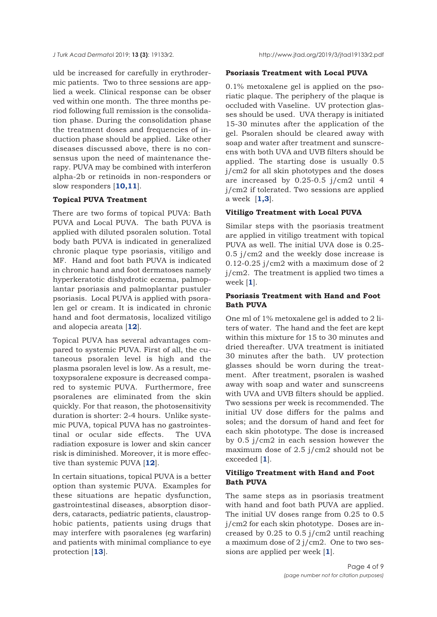*J Turk Acad Dermato*l 2019; **13 (3)**: 19133r2. http://www.jtad.org/2019/3/jtad19133r2.pdf

uld be increased for carefully in erythrodermic patients. Two to three sessions are applied a week. Clinical response can be obser ved within one month. The three months period following full remission is the consolidation phase. During the consolidation phase the treatment doses and frequencies of induction phase should be applied. Like other diseases discussed above, there is no consensus upon the need of maintenance therapy. PUVA may be combined with interferon alpha-2b or retinoids in non-responders or slow responders [**[10,11](#page-7-0)**].

# **Topical PUVA Treatment**

There are two forms of topical PUVA: Bath PUVA and Local PUVA. The bath PUVA is applied with diluted psoralen solution. Total body bath PUVA is indicated in generalized chronic plaque type psoriasis, vitiligo and MF. Hand and foot bath PUVA is indicated in chronic hand and foot dermatoses namely hyperkeratotic dishydrotic eczema, palmoplantar psoriasis and palmoplantar pustuler psoriasis. Local PUVA is applied with psoralen gel or cream. It is indicated in chronic hand and foot dermatosis, localized vitiligo and alopecia areata [**[12](#page-7-0)**].

Topical PUVA has several advantages compared to systemic PUVA. First of all, the cutaneous psoralen level is high and the plasma psoralen level is low. As a result, metoxypsoralene exposure is decreased compared to systemic PUVA. Furthermore, free psoralenes are eliminated from the skin quickly. For that reason, the photosensitivity duration is shorter: 2-4 hours. Unlike systemic PUVA, topical PUVA has no gastrointestinal or ocular side effects. The UVA radiation exposure is lower and skin cancer risk is diminished. Moreover, it is more effective than systemic PUVA [**[12](#page-7-0)**].

In certain situations, topical PUVA is a better option than systemic PUVA. Examples for these situations are hepatic dysfunction, gastrointestinal diseases, absorption disorders, cataracts, pediatric patients, claustrophobic patients, patients using drugs that may interfere with psoralenes (eg warfarin) and patients with minimal compliance to eye protection [**[13](#page-7-0)**].

# **Psoriasis Treatment with Local PUVA**

0.1% metoxalene gel is applied on the psoriatic plaque. The periphery of the plaque is occluded with Vaseline. UV protection glasses should be used. UVA therapy is initiated 15-30 minutes after the application of the gel. Psoralen should be cleared away with soap and water after treatment and sunscreens with both UVA and UVB filters should be applied. The starting dose is usually 0.5 j/cm2 for all skin phototypes and the doses are increased by 0.25-0.5 j/cm2 until 4 j/cm2 if tolerated. Two sessions are applied a week [**[1,3](#page-7-0)**].

# **Vitiligo Treatment with Local PUVA**

Similar steps with the psoriasis treatment are applied in vitiligo treatment with topical PUVA as well. The initial UVA dose is 0.25- 0.5 j/cm2 and the weekly dose increase is 0.12-0.25  $j/cm2$  with a maximum dose of 2 j/cm2. The treatment is applied two times a week [**[1](#page-7-0)**].

# **Psoriasis Treatment with Hand and Foot Bath PUVA**

One ml of 1% metoxalene gel is added to 2 liters of water. The hand and the feet are kept within this mixture for 15 to 30 minutes and dried thereafter. UVA treatment is initiated 30 minutes after the bath. UV protection glasses should be worn during the treatment. After treatment, psoralen is washed away with soap and water and sunscreens with UVA and UVB filters should be applied. Two sessions per week is recommended. The initial UV dose differs for the palms and soles; and the dorsum of hand and feet for each skin phototype. The dose is increased by 0.5 j/cm2 in each session however the maximum dose of 2.5 j/cm2 should not be exceeded [**[1](#page-7-0)**].

# **Vitiligo Treatment with Hand and Foot Bath PUVA**

The same steps as in psoriasis treatment with hand and foot bath PUVA are applied. The initial UV doses range from 0.25 to 0.5 j/cm2 for each skin phototype. Doses are increased by 0.25 to 0.5 j/cm2 until reaching a maximum dose of 2 j/cm2. One to two sessions are applied per week [**[1](#page-7-0)**].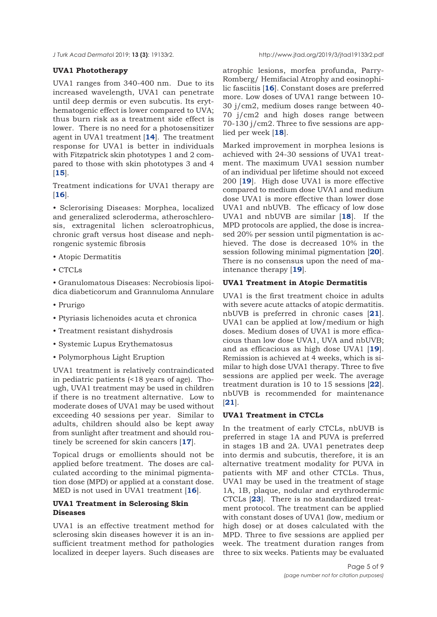# **UVA1 Phototherapy**

UVA1 ranges from 340-400 nm. Due to its increased wavelength, UVA1 can penetrate until deep dermis or even subcutis. Its erythematogenic effect is lower compared to UVA; thus burn risk as a treatment side effect is lower. There is no need for a photosensitizer agent in UVA1 treatment [**[14](#page-7-0)**]. The treatment response for UVA1 is better in individuals with Fitzpatrick skin phototypes 1 and 2 compared to those with skin phototypes 3 and 4 [**[15](#page-7-0)**].

Treatment indications for UVA1 therapy are [**[16](#page-7-0)**].

• Sclerorising Diseases: Morphea, localized and generalized scleroderma, atheroschlerosis, extragenital lichen scleroatrophicus, chronic graft versus host disease and nephrongenic systemic fibrosis

- Atopic Dermatitis
- CTCLs

• Granulomatous Diseases: Necrobiosis lipoidica diabeticorum and Grannuloma Annulare

- Prurigo
- Ptyriasis lichenoides acuta et chronica
- Treatment resistant dishydrosis
- Systemic Lupus Erythematosus
- Polymorphous Light Eruption

UVA1 treatment is relatively contraindicated in pediatric patients (<18 years of age). Though, UVA1 treatment may be used in children if there is no treatment alternative. Low to moderate doses of UVA1 may be used without exceeding 40 sessions per year. Similar to adults, children should also be kept away from sunlight after treatment and should routinely be screened for skin cancers [**[17](#page-7-0)**].

Topical drugs or emollients should not be applied before treatment. The doses are calculated according to the minimal pigmentation dose (MPD) or applied at a constant dose. MED is not used in UVA1 treatment [**[16](#page-7-0)**].

# **UVA1 Treatment in Sclerosing Skin Diseases**

UVA1 is an effective treatment method for sclerosing skin diseases however it is an insufficient treatment method for pathologies localized in deeper layers. Such diseases are atrophic lesions, morfea profunda, Parry-Romberg/ Hemifacial Atrophy and eosinophilic fasciitis [**[16](#page-7-0)**]. Constant doses are preferred more. Low doses of UVA1 range between 10- 30 j/cm2, medium doses range between 40- 70 j/cm2 and high doses range between 70-130 j/cm2. Three to five sessions are applied per week [**[18](#page-7-0)**].

Marked improvement in morphea lesions is achieved with 24-30 sessions of UVA1 treatment. The maximum UVA1 session number of an individual per lifetime should not exceed 200 [**[19](#page-7-0)**]. High dose UVA1 is more effective compared to medium dose UVA1 and medium dose UVA1 is more effective than lower dose UVA1 and nbUVB. The efficacy of low dose UVA1 and nbUVB are similar [**[18](#page-7-0)**]. If the MPD protocols are applied, the dose is increased 20% per session until pigmentation is achieved. The dose is decreased 10% in the session following minimal pigmentation [**[20](#page-7-0)**]. There is no consensus upon the need of maintenance therapy [**[19](#page-7-0)**].

## **UVA1 Treatment in Atopic Dermatitis**

UVA1 is the first treatment choice in adults with severe acute attacks of atopic dermatitis. nbUVB is preferred in chronic cases [**[21](#page-7-0)**]. UVA1 can be applied at low/medium or high doses. Medium doses of UVA1 is more efficacious than low dose UVA1, UVA and nbUVB; and as efficacious as high dose UVA1 [**[19](#page-7-0)**]. Remission is achieved at 4 weeks, which is similar to high dose UVA1 therapy. Three to five sessions are applied per week. The average treatment duration is 10 to 15 sessions [**[22](#page-7-0)**]. nbUVB is recommended for maintenance [**[21](#page-7-0)**].

# **UVA1 Treatment in CTCLs**

In the treatment of early CTCLs, nbUVB is preferred in stage 1A and PUVA is preferred in stages 1B and 2A. UVA1 penetrates deep into dermis and subcutis, therefore, it is an alternative treatment modality for PUVA in patients with MF and other CTCLs. Thus, UVA1 may be used in the treatment of stage 1A, 1B, plaque, nodular and erythrodermic CTCLs [**[23](#page-7-0)**]. There is no standardized treatment protocol. The treatment can be applied with constant doses of UVA1 (low, medium or high dose) or at doses calculated with the MPD. Three to five sessions are applied per week. The treatment duration ranges from three to six weeks. Patients may be evaluated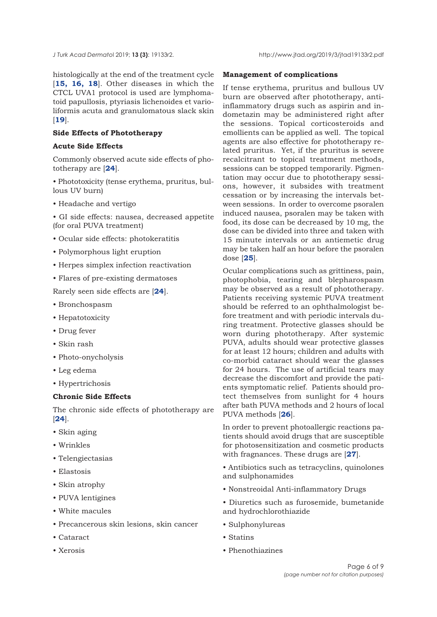histologically at the end of the treatment cycle [**[15, 16,](#page-7-0) [18](#page-7-0)**]. Other diseases in which the CTCL UVA1 protocol is used are lymphomatoid papullosis, ptyriasis lichenoides et varioliformis acuta and granulomatous slack skin [**[19](#page-7-0)**].

## **Side Effects of Phototherapy**

## **Acute Side Effects**

Commonly observed acute side effects of phototherapy are [**[24](#page-8-0)**].

• Phototoxicity (tense erythema, pruritus, bullous UV burn)

• Headache and vertigo

• GI side effects: nausea, decreased appetite (for oral PUVA treatment)

- Ocular side effects: photokeratitis
- Polymorphous light eruption
- Herpes simplex infection reactivation
- Flares of pre-existing dermatoses

Rarely seen side effects are [**[24](#page-8-0)**].

- Bronchospasm
- Hepatotoxicity
- Drug fever
- Skin rash
- Photo-onycholysis
- Leg edema
- Hypertrichosis

#### **Chronic Side Effects**

The chronic side effects of phototherapy are [**[24](#page-8-0)**].

- Skin aging
- Wrinkles
- Telengiectasias
- Elastosis
- Skin atrophy
- PUVA lentigines
- White macules
- Precancerous skin lesions, skin cancer
- Cataract
- Xerosis

## **Management of complications**

If tense erythema, pruritus and bullous UV burn are observed after phototherapy, antiinflammatory drugs such as aspirin and indometazin may be administered right after the sessions. Topical corticosteroids and emollients can be applied as well. The topical agents are also effective for phototherapy related pruritus. Yet, if the pruritus is severe recalcitrant to topical treatment methods, sessions can be stopped temporarily. Pigmentation may occur due to phototherapy sessions, however, it subsides with treatment cessation or by increasing the intervals between sessions. In order to overcome psoralen induced nausea, psoralen may be taken with food, its dose can be decreased by 10 mg, the dose can be divided into three and taken with 15 minute intervals or an antiemetic drug may be taken half an hour before the psoralen dose [**[25](#page-8-0)**].

Ocular complications such as grittiness, pain, photophobia, tearing and blepharospasm may be observed as a result of phototherapy. Patients receiving systemic PUVA treatment should be referred to an ophthalmologist before treatment and with periodic intervals during treatment. Protective glasses should be worn during phototherapy. After systemic PUVA, adults should wear protective glasses for at least 12 hours; children and adults with co-morbid cataract should wear the glasses for 24 hours. The use of artificial tears may decrease the discomfort and provide the patients symptomatic relief. Patients should protect themselves from sunlight for 4 hours after bath PUVA methods and 2 hours of local PUVA methods [**[26](#page-8-0)**].

In order to prevent photoallergic reactions patients should avoid drugs that are susceptible for photosensitization and cosmetic products with fragnances. These drugs are [**[27](#page-8-0)**].

• Antibiotics such as tetracyclins, quinolones and sulphonamides

- Nonstreoidal Anti-inflammatory Drugs
- Diuretics such as furosemide, bumetanide and hydrochlorothiazide
- Sulphonylureas
- Statins
- Phenothiazines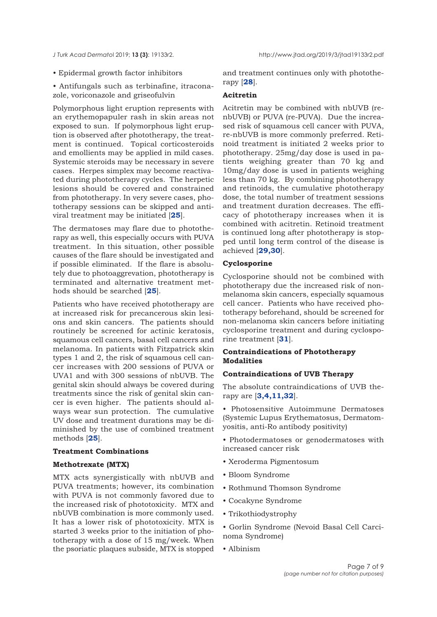<span id="page-6-0"></span>

- Epidermal growth factor inhibitors
- Antifungals such as terbinafine, itraconazole, voriconazole and griseofulvin

Polymorphous light eruption represents with an erythemopapuler rash in skin areas not exposed to sun. If polymorphous light eruption is observed after phototherapy, the treatment is continued. Topical corticosteroids and emollients may be applied in mild cases. Systemic steroids may be necessary in severe cases. Herpes simplex may become reactivated during phototherapy cycles. The herpetic lesions should be covered and constrained from phototherapy. In very severe cases, phototherapy sessions can be skipped and antiviral treatment may be initiated [**[25](#page-8-0)**].

The dermatoses may flare due to phototherapy as well, this especially occurs with PUVA treatment. In this situation, other possible causes of the flare should be investigated and if possible eliminated. If the flare is absolutely due to photoaggrevation, phototherapy is terminated and alternative treatment methods should be searched [**[25](#page-8-0)**].

Patients who have received phototherapy are at increased risk for precancerous skin lesions and skin cancers. The patients should routinely be screened for actinic keratosis, squamous cell cancers, basal cell cancers and melanoma. In patients with Fitzpatrick skin types 1 and 2, the risk of squamous cell cancer increases with 200 sessions of PUVA or UVA1 and with 300 sessions of nbUVB. The genital skin should always be covered during treatments since the risk of genital skin cancer is even higher. The patients should always wear sun protection. The cumulative UV dose and treatment durations may be diminished by the use of combined treatment methods [**[25](#page-8-0)**].

#### **Treatment Combinations**

#### **Methotrexate (MTX)**

MTX acts synergistically with nbUVB and PUVA treatments; however, its combination with PUVA is not commonly favored due to the increased risk of phototoxicity. MTX and nbUVB combination is more commonly used. It has a lower risk of phototoxicity. MTX is started 3 weeks prior to the initiation of phototherapy with a dose of 15 mg/week. When the psoriatic plaques subside, MTX is stopped and treatment continues only with phototherapy [**[28](#page-8-0)**].

# **Acitretin**

Acitretin may be combined with nbUVB (renbUVB) or PUVA (re-PUVA). Due the increased risk of squamous cell cancer with PUVA, re-nbUVB is more commonly preferred. Retinoid treatment is initiated 2 weeks prior to phototherapy. 25mg/day dose is used in patients weighing greater than 70 kg and 10mg/day dose is used in patients weighing less than 70 kg. By combining phototherapy and retinoids, the cumulative phototherapy dose, the total number of treatment sessions and treatment duration decreases. The efficacy of phototherapy increases when it is combined with acitretin. Retinoid treatment is continued long after phototherapy is stopped until long term control of the disease is achieved [**[29,30](#page-8-0)**].

#### **Cyclosporine**

Cyclosporine should not be combined with phototherapy due the increased risk of nonmelanoma skin cancers, especially squamous cell cancer. Patients who have received phototherapy beforehand, should be screened for non-melanoma skin cancers before initiating cyclosporine treatment and during cyclosporine treatment [**[31](#page-8-0)**].

## **Contraindications of Phototherapy Modalities**

#### **Contraindications of UVB Therapy**

The absolute contraindications of UVB therapy are [**[3,4,11](#page-7-0),[32](#page-8-0)**].

• Photosensitive Autoimmune Dermatoses (Systemic Lupus Erythematosus, Dermatomyositis, anti-Ro antibody positivity)

• Photodermatoses or genodermatoses with increased cancer risk

- Xeroderma Pigmentosum
- Bloom Syndrome
- Rothmund Thomson Syndrome
- Cocakyne Syndrome
- Trikothiodystrophy
- Gorlin Syndrome (Nevoid Basal Cell Carcinoma Syndrome)
- Albinism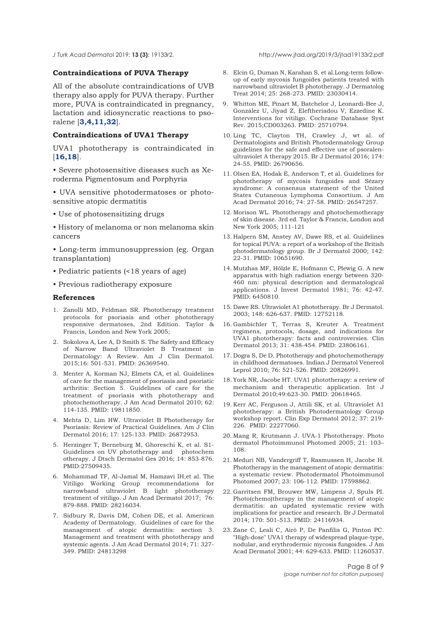#### <span id="page-7-0"></span>*J Turk Acad Dermato*l 2019; **13 (3)**: 19133r2. http://www.jtad.org/2019/3/jtad19133r2.pdf

## **Contraindications of PUVA Therapy**

All of the absolute contraindications of UVB therapy also apply for PUVA therapy. Further more, PUVA is contraindicated in pregnancy, lactation and idiosyncratic reactions to psoralene [**3,4,11,32**].

#### **Contraindications of UVA1 Therapy**

UVA1 phototherapy is contraindicated in [**16,18**].

• Severe photosensitive diseases such as Xeroderma Pigmentosum and Porphyria

• UVA sensitive photodermatoses or photosensitive atopic dermatitis

- Use of photosensitizing drugs
- History of melanoma or non melanoma skin cancers

• Long-term immunosuppression (eg. Organ transplantation)

- Pediatric patients (<18 years of age)
- Previous radiotherapy exposure

#### **References**

- 1. Zanolli MD, Feldman SR. Phototherapy treatment protocols for psoriasis and other phototherapy responsive dermatoses, 2nd Edition. Taylor & Francis, London and New York 2005;
- 2. Sokolova A, Lee A, D Smith S. The Safety and Efficacy of Narrow Band Ultraviolet B Treatment in Dermatology: A Review. Am J Clin Dermatol. 2015;16: 501-531. PMID: 26369540.
- 3. Menter A, Korman NJ, Elmets CA, et al. Guidelines of care for the management of psoriasis and psoriatic arthritis: Section 5. Guidelines of care for the treatment of psoriasis with phototherapy and photochemotherapy. J Am Acad Dermatol 2010; 62: 114-135. PMID: 19811850.
- 4. Mehta D, Lim HW. Ultraviolet B Phototherapy for Psoriasis: Review of Practical Guidelines. Am J Clin Dermatol 2016; 17: 125-133. PMID: 26872953.
- 5. Herzinger T, Berneburg M, Ghoreschi K, et al. S1- Guidelines on UV phototherapy and photochem otherapy. J Dtsch Dermatol Ges 2016; 14: 853-876. PMID:27509435.
- 6. Mohammad TF, Al-Jamal M, Hamzavi IH,et al. The Vitiligo Working Group recommendations for narrowband ultraviolet B light phototherapy treatment of vitiligo. J Am Acad Dermatol 2017; 76: 879-888. PMID: 28216034.
- 7. Sidbury R, Davis DM, Cohen DE, et al. American Academy of Dermatology. Guidelines of care for the management of atopic dermatitis: section 3. Management and treatment with phototherapy and systemic agents. J Am Acad Dermatol 2014; 71: 327- 349. PMID: 24813298
- 8. Elcin G, Duman N, Karahan S, et al.Long-term followup of early mycosis fungoides patients treated with narrowband ultraviolet B phototherapy. J Dermatolog Treat 2014; 25: 268-273. PMID: 23030414.
- 9. Whitton ME, Pinart M, Batchelor J, Leonardi-Bee J, González U, Jiyad Z, Eleftheriadou V, Ezzedine K. Interventions for vitiligo. Cochrane Database Syst Rev. 2015;CD003263. PMID: 25710794.
- 10. Ling TC, Clayton TH, Crawley J, wt al. of Dermatologists and British Photodermatology Group guidelines for the safe and effective use of psoralenultraviolet A therapy 2015. Br J Dermatol 2016; 174: 24-55. PMID: 26790656.
- 11. Olsen EA, Hodak E, Anderson T, et al. Guidelines for phototherapy of mycosis fungoides and Sézary syndrome: A consensus statement of the United States Cutaneous Lymphoma Consortium. J Am Acad Dermatol 2016; 74: 27-58. PMID: 26547257.
- 12. Morison WL. Phototherapy and photochemotherapy of skin disease. 3rd ed. Taylor & Francis, London and New York 2005; 111-121
- 13. Halpern SM, Anstey AV, Dawe RS, et al. Guidelines for topical PUVA: a report of a workshop of the British photodermatology group. Br J Dermatol 2000; 142: 22-31. PMID: 10651690.
- 14. Mutzhas MF, Hölzle E, Hofmann C, Plewig G. A new apparatus with high radiation energy between 320- 460 nm: physical description and dermatological applications. J Invest Dermatol 1981; 76: 42-47. PMID: 6450810.
- 15. Dawe RS. Ultraviolet A1 phototherapy. Br J Dermatol. 2003; 148: 626-637. PMID: 12752118.
- 16. Gambichler T, Terras S, Kreuter A. Treatment regimens, protocols, dosage, and indications for UVA1 phototherapy: facts and controversies. Clin Dermatol 2013; 31: 438-454. PMID: 23806161.
- 17. Dogra S, De D. Phototherapy and photochemotherapy in childhood dermatoses. Indian J Dermatol Venereol Leprol 2010; 76: 521-526. PMID: 20826991.
- 18. York NR, Jacobe HT. UVA1 phototherapy: a review of mechanism and therapeutic application. Int J Dermatol 2010;49:623-30. PMID: 20618465.
- 19. Kerr AC, Ferguson J, Attili SK, et al. Ultraviolet A1 phototherapy: a British Photodermatology Group workshop report. Clin Exp Dermatol 2012; 37: 219- 226. PMID: 22277060.
- 20. Mang R, Krutmann J. UVA-1 Phototherapy. Photo dermatol Photoimmunol Photomed 2005; 21: 103– 108.
- 21. Meduri NB, Vandergriff T, Rasmussen H, Jacobe H. Phototherapy in the management of atopic dermatitis: a systematic review. Photodermatol Photoimmunol Photomed 2007; 23: 106-112. PMID: 17598862.
- 22. Garritsen FM, Brouwer MW, Limpens J, Spuls PI. Photo(chemo)therapy in the management of atopic dermatitis: an updated systematic review with implications for practice and research. Br J Dermatol 2014; 170: 501-513. PMID: 24116934.
- 23. Zane C, Leali C, Airò P, De Panfilis G, Pinton PC. "High-dose" UVA1 therapy of widespread plaque-type, nodular, and erythrodermic mycosis fungoides. J Am Acad Dermatol 2001; 44: 629-633. PMID: 11260537.